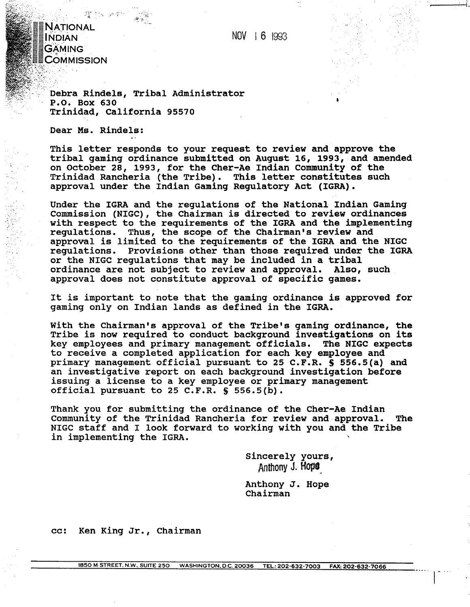NOV 1 6 1993

NATIONAL INDIAN GAMING COMMISSION

> **Debra Rindels, Tribal Administrator** . .. . \, , .I . **P.0. BOX 630 ~rinidad, California 95570**

**Dear Ms. Rindels:** 

**This letter responds to your request to review and approve the tribal gaming ordinance submitted on August 16, 1993, and amended on October 28, 1993, for the Cher-Ae Indian Community of the Trinidad Rancheria (the Tribe). This letter constitutes such approval under the Indian Gaming Regulatory Act (IGRA).** 

**Under the IGRA and the regulations of the National Indian Gaming Commission (NIGC), the Chairman is directed to review ordinances with respect to the requirements of the IGRA and the implementing regulations. Thus, the scope of the Chairman's review and approval is limited to the requirements of the IGRA and the NIGC regulations. Provisions other than those required under the IGRA or the NIGC regulations that may be included in a tribal ordinance are not subject to review and approval. Also, such approval does not constitute approval of specific games.** 

**It is important to note that the gaming ordinance is approved for gaming only on Indian lands as defined in the IGRA.** 

**With the Chairman's approval of the Tribe's gaming ordinance, the Tribe is now required to conduct background investigations on its key employees and primary management officials. The NIGC expects to receive a completed application for each key employee and primary management official pursuant to 25 C.F.R. S 556.5(a) and an investigative report on each background investigation before issuing a license to a key employee or primary management official pursuant to 25 C.F.R. S 556.5(b).** 

**Thank you for submitting the ordinance of the Cher-Ae Indian Community of the Trinidad Rancheria for review and approval. The**  NIGC staff and I look forward to working with you and the Tribe in implementing the IGRA.

> **Sincerely yours, Anmony** J. **HOPO**

**Anthony J. Hope Chairman** 

---- I - -"

**cc: Ken King Jr., Chairman**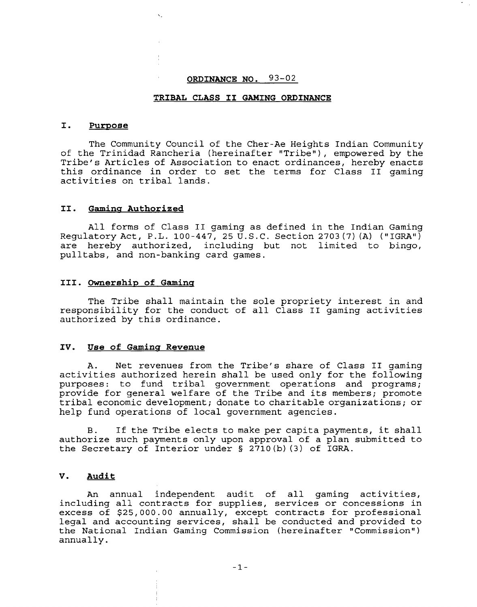# **ORDINANCE NO. 93-02**

## **TRIBAL CLASS I1 GAMING ORDINANCE**

#### I. Purpose

The Community Council of the Cher-Ae Heights Indian Community of the Trinidad Rancheria (hereinafter "Tribe"), empowered by the Tribe's Articles of Association to enact ordinances, hereby enacts this ordinance in order to set the terms for Class I1 gaming activities on tribal lands.

#### **11. Gamina Authorized**

All forms of Class I1 gaming as defined in the Indian Gaming Requlatory Act, P.L. 100-447, 25 U.S.C. Section 2703 (7) (A)  $(''IGRA'')$ are hereby authorized, including but not limited to bingo, pulltabs, and non-banking card games.

## **111. owners hi^ of Gaminq**

The Tribe shall maintain the sole propriety interest in and responsibility for the conduct of all Class **I1** gaming activities authorized by this ordinance.

## **IV.** Use of Gaming Revenue

A. Net revenues from the Tribe's share of Class **I1** gaming activities authorized herein shall be used only for the following purposes: to fund tribal government operations and programs; provide for general welfare of the Tribe and its members; promote tribal economic development; donate to charitable organizations; or help fund operations of local government agencies.

**B.** If the Tribe elects to make per capita payments, it shall authorize such payments only upon approval of a plan submitted to the Secretary of Interior under **5** 2710(b) (3) of IGRA.

## **V. Audit**

An annual independent audit of all gaming activities, including all contracts for supplies, services or concessions in excess of \$25,000.00 annually, except contracts for professional legal and accounting services, shall be conducted and provided to the National Indian Gaming Commission (hereinafter "Commission") annually.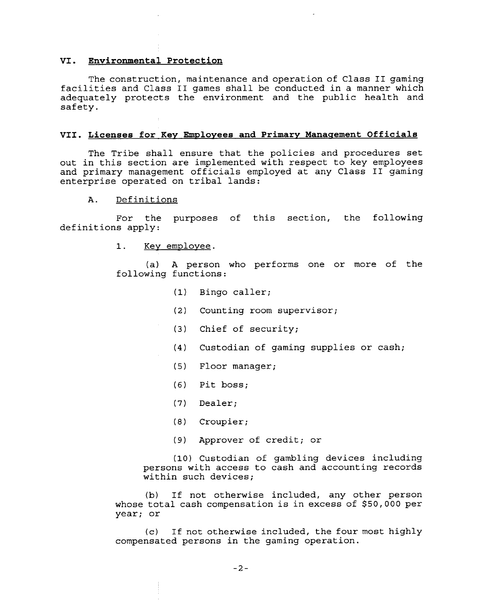#### VI. **Environmental Protection**

The construction, maintenance and operation of Class I1 gaming facilities and Class I1 games shall be conducted in a manner which adequately protects the environment and the public health and safety.

### VII. Licenses for Key Employees and Primary Management Officials

The Tribe shall ensure that the policies and procedures set out in this section are implemented with respect to key employees and primary management officials employed at any Class **I1** gaming enterprise operated on tribal lands:

# A. Definitions

For the purposes of this section, the following definitions apply:

> $1.$ Key employee.

(a) A person who performs one or more of the following functions:

- (1) Bingo caller;
- (2) Counting room supervisor;
- **(3)** Chief of security;
- **(4)** Custodian of gaming supplies or cash;
- (5) Floor manager;
- (6) Pit boss;
- (7) Dealer;
- (8) Croupier;
- (9) Approver of credit; or

(10) Custodian of gambling devices including persons with access to cash and accounting records within such devices;

(b) If not otherwise included, any other person whose total cash compensation is in excess of \$50,000 per year; or

(c) If not otherwise included, the four most highly compensated persons in the gaming operation.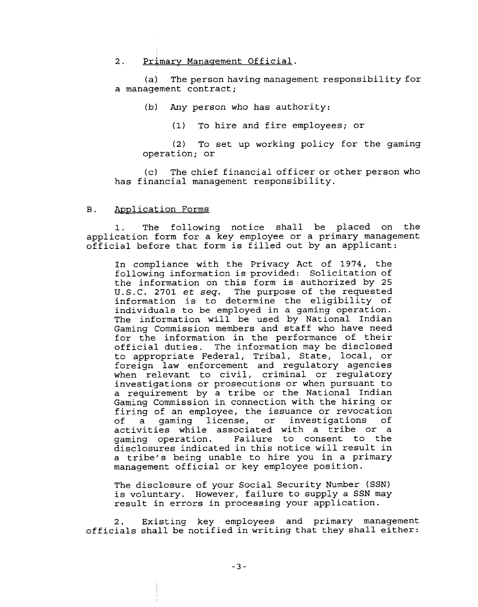## 2. Primary Management Official.

(a) The person having management responsibility for a management contract;

(b) Any person who has authority:

(1) To hire and fire employees; or

(2) To set up working policy for the gaming operation; or

(c) The chief financial officer or other person who has financial management responsibility.

### B. Application Forms

1. The following notice shall be placed on the application form for a key employee or a primary management official before that form is filled out by an applicant:

In compliance with the Privacy Act of 1974, the following information is provided: Solicitation of the information on this form is authorized by 25 U.S.C. 2701 et seq. The purpose of the requested information is to determine the eligibility of individuals to be employed in a gaming operation. The information will be used by National Indian Gaming Commission members and staff who have need for the information in the performance of their official duties. The information may be disclosed to appropriate Federal, Tribal, State, local, or foreign law enforcement and regulatory agencies when relevant to civil, criminal or regulatory investigations or prosecutions or when pursuant to a requirement by a tribe or the National Indian Gaming Commission in connection with the hiring or firing of an employee, the issuance or revocation of a gaming license, or investigations of activities while associated with a tribe or a<br>qaming operation. Failure to consent to the Failure to consent to the disclosures indicated in this notice will result in a tribe's being unable to hire you in a primary management official or key employee position.

The disclosure of your Social Security Number (SSN) is voluntary. However, failure to supply a SSN may result in errors in processing your application.

2. Existing key employees and primary management officials shall be notified in writing that they shall either: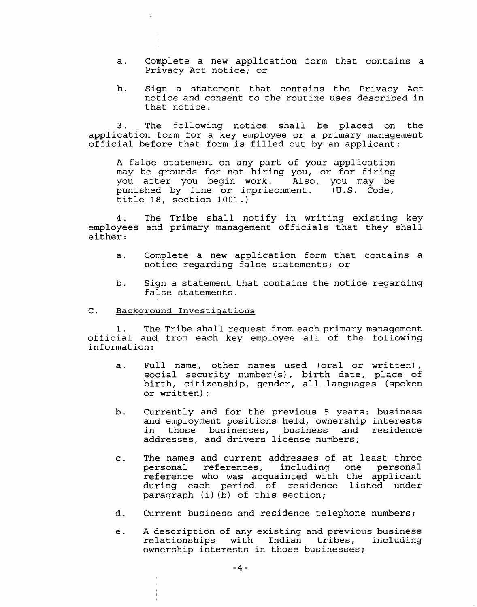- a. Complete a new application form that contains a Privacy Act notice; or
- b. Sign a statement that contains the Privacy Act notice and consent to the routine uses described in that notice.

3. The following notice shall be placed on the application form for a key employee or a primary management official before that form is filled out by an applicant:

A false statement on any part of your application may be grounds for not hiring you, or for firing you after you begin work. Also, you may be punished by fine or imprisonment. (U.S. Code, title 18, section 1001.)

4. The Tribe shall notify in writing existing key employees and primary management officials that they shall either:

- a. Complete a new application form that contains a notice regarding false statements; or
- b. Sign a statement that contains the notice regarding false statements.

## C. Backqround Investiqations

**1.** The Tribe shall request from each primary management official and from each key employee all of the following information:

- a. Full name, other names used (oral or written), social security number(s), birth date, place of birth, citizenship, gender, all languages (spoken or written) ;
- b. Currently and for the previous 5 years: business and employment positions held, ownership interests in those businesses, business and residence addresses, and drivers license numbers;
- c. The names and current addresses of at least three personal references, including one reference who was acquainted with the applicant during each period of residence listed under paragraph (i) (b) of this section;
- d. Current business and residence telephone numbers;
- e. A description of any existing and previous business<br>relationships with Indian tribes, including with Indian tribes, including ownership interests in those businesses;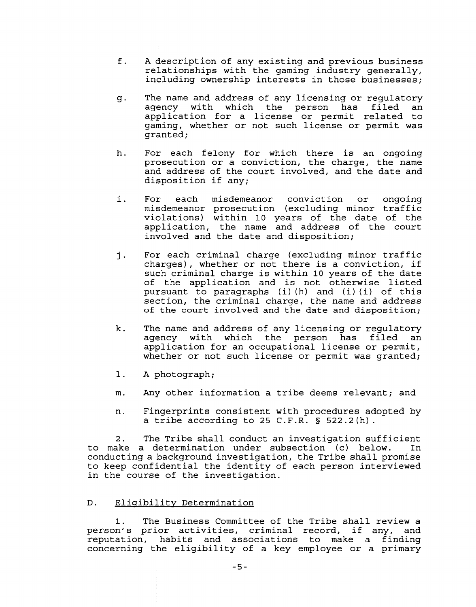- f. A description of any existing and previous business relationships with the gaming industry generally, including ownership interests in those businesses;
- g. The name and address of any licensing or regulatory agency with which the person has filed application for a license or permit related to gaming, whether or not such license or permit was granted;
- h. For each felony for which there is an ongoing prosecution or a conviction, the charge, the name and address of the court involved, and the date and disposition if any;
- i. For each misdemeanor conviction or ongoing misdemeanor prosecution (excluding minor traffic violations) within 10 years of the date of the application, the name and address of the court involved and the date and disposition;
- j. For each criminal charge (excluding minor traffic charges), whether or not there is a conviction, if such criminal charge is within 10 years of the date of the application and is not otherwise listed pursuant to paragraphs (i) (h) and (i) (i) of this section, the criminal charge, the name and address of the court involved and the date and disposition;
- k. The name and address of any licensing or regulatory agency with which the person has filed an application for an occupational license or permit, whether or not such license or permit was granted;
- 1. A photograph;
- m. Any other information a tribe deems relevant; and
- n. Fingerprints consistent with procedures adopted by a tribe according to 25 C.F.R. § 522.2(h).

2. The Tribe shall conduct an investigation sufficient to make a determination under subsection (c) below. In conducting a background investigation, the Tribe shall promise to keep confidential the identity of each person interviewed in the course of the investigation.

# D. Eligibility Determination

1. The Business Committee of the Tribe shall review a person's prior activities, criminal record, if any, and<br>reputation, habits and associations to make a finding habits and associations to make a finding concerning the eligibility of a key employee or a primary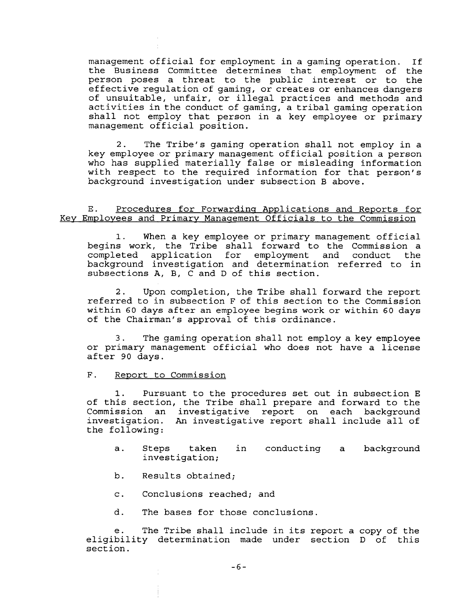management official for employment in a gaming operation. If the Business Committee determines that employment of the person poses a threat to the public interest or to the effective regulation of gaming, or creates or enhances dangers of unsuitable, unfair, or illegal practices and methods and activities in the conduct of gaming, a tribal gaming operation shall not employ that person in a key employee or primary management official position.

2. The Tribe's gaming operation shall not employ in a key employee or primary management official position a person who has supplied materially false or misleading information with respect to the required information for that person's background investigation under subsection B above.

## E. Procedures for Forwarding Applications and Reports for Key Employees and Primary Management Officials to the Commission

1. When a key employee or primary management official begins work, the Tribe shall forward to the Commission a completed application for employment and conduct the background investigation and determination referred to in subsections A, B, C and D of this section.

2. Upon completion, the Tribe shall forward the report referred to in subsection F of this section to the Commission within 60 days after an employee begins work or within 60 days of the Chairman's approval of this ordinance.

**3.** The gaming operation shall not employ a key employee or primary management official who does not have a license after 90 days.

#### F. Report to Commission

1. Pursuant to the procedures set out in subsection E of this section, the Tribe shall prepare and forward to the Commission an investigative report on each background investigation. An investigative report shall include all of the following:

- a. Steps taken in conducting a background investigation;
- b. Results obtained;
- c. Conclusions reached; and
- d. The bases for those conclusions.

e. The Tribe shall include in its report a copy of the eligibility determination made under section D of this section.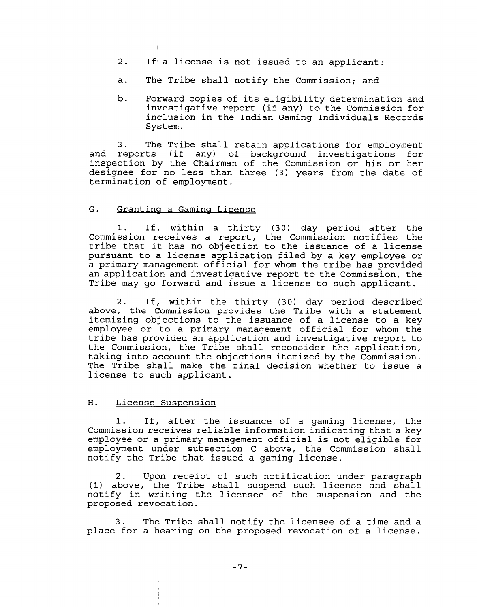- 2. If a license is not issued to an applicant:
- a. The Tribe shall notify the Commission; and
- b. Forward copies of its eligibility determination and investigative report (if any) to the Commission for inclusion in the Indian Gaming Individuals Records System.

3. The Tribe shall retain applications for employment and reports (if any) of background investigations for inspection by the Chairman of the Commission or his or her designee for no less than three (3) years from the date of termination of employment.

## G. Granting a Gaming License

1. If, within a thirty (30) day period after the Commission receives a report, the Commission notifies the tribe that it has no objection to the issuance of a license pursuant to a license application filed by a key employee or a primary management official for whom the tribe has provided an application and investigative report to the Commission, the Tribe may go forward and issue a license to such applicant.

2. If, within the thirty (30) day period described above, the Commission provides the Tribe with a statement itemizing objections to the issuance of a license to a key employee or to a primary management official for whom the tribe has provided an application and investigative report to the Commission, the Tribe shall reconsider the application, taking into account the objections itemized by the Commission. The Tribe shall make the final decision whether to issue a license to such applicant.

## H. License Suspension

1. If, after the issuance of a gaming license, the Commission receives reliable information indicating that a key employee or a primary management official is not eligible for employment under subsection C above, the Commission shall notify the Tribe that issued a gaming license.

2. Upon receipt of such notification under paragraph **(1)** above, the Tribe shall suspend such license and shall notify in writing the licensee of the suspension and the proposed revocation.

3. The Tribe shall notify the licensee of a time and a place for a hearing on the proposed revocation of a license.